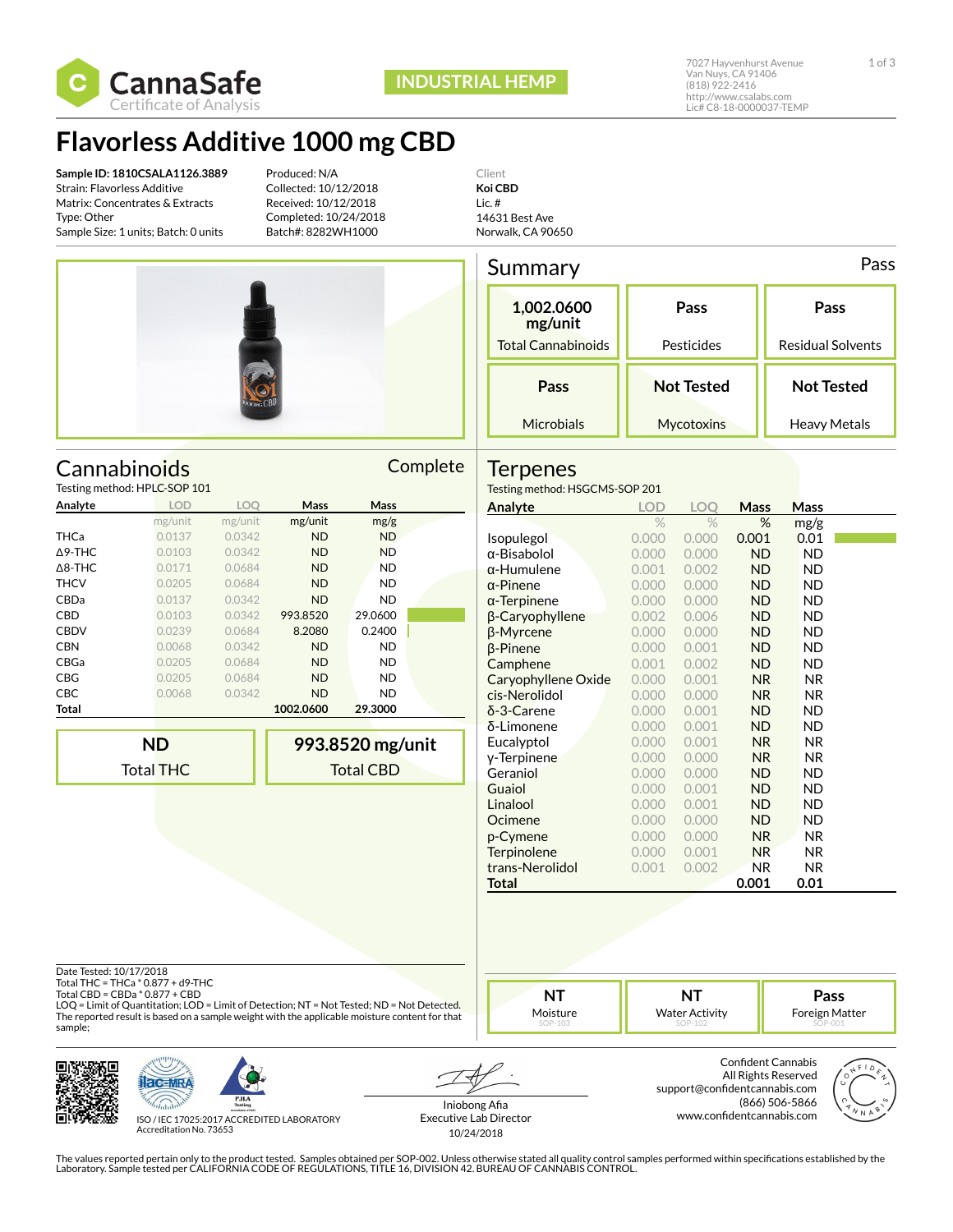

## **Flavorless Additive 1000 mg CBD**

**Sample ID: 1810CSALA1126.3889** Strain: Flavorless Additive Matrix: Concentrates & Extracts Type: Other Sample Size: 1 units; Batch: 0 units

Testing method: HPLC-SOP 101

Produced: N/A Collected: 10/12/2018 Received: 10/12/2018 Completed: 10/24/2018 Batch#: 8282WH1000





Cannabinoids Complete

mg/unit mg/unit mg/unit mg/g

**993.8520 mg/unit** Total CBD

**Analyte LOD LOQ Mass Mass**

THCa 0.0137 0.0342 ND ND Δ9-THC 0.0103 0.0342 ND ND Δ8-THC 0.0171 0.0684 ND ND THCV 0.0205 0.0684 ND ND CBDa 0.0137 0.0342 ND ND CBD 0.0103 0.0342 993.8520 29.0600 CBDV 0.0239 0.0684 8.2080 0.2400 CBN 0.0068 0.0342 ND ND CBGa 0.0205 0.0684 ND ND CBG 0.0205 0.0684 ND ND CBC 0.0068 0.0342 ND ND **Total 1002.0600 29.3000** Norwalk, CA 90650

| Summary                   |                   | Pass                     |
|---------------------------|-------------------|--------------------------|
| 1,002.0600<br>mg/unit     | Pass              | Pass                     |
| <b>Total Cannabinoids</b> | Pesticides        | <b>Residual Solvents</b> |
| Pass                      | <b>Not Tested</b> | <b>Not Tested</b>        |
| Microbials                | Mycotoxins        | Heavy Metals             |

## **Terpenes**

Testing method: HSGCMS-SOP 201

| Analyte             | <b>LOD</b> | LOO   | Mass           | <b>Mass</b> |  |
|---------------------|------------|-------|----------------|-------------|--|
|                     | %          | $\%$  | %              | mg/g        |  |
| Isopulegol          | 0.000      | 0.000 | 0.001          | 0.01        |  |
| α-Bisabolol         | 0.000      | 0.000 | <b>ND</b>      | <b>ND</b>   |  |
| $\alpha$ -Humulene  | 0.001      | 0.002 | <b>ND</b>      | <b>ND</b>   |  |
| $\alpha$ -Pinene    | 0.000      | 0.000 | <b>ND</b>      | <b>ND</b>   |  |
| $\alpha$ -Terpinene | 0.000      | 0.000 | <b>ND</b>      | <b>ND</b>   |  |
| β-Caryophyllene     | 0.002      | 0.006 | <b>ND</b>      | <b>ND</b>   |  |
| β-Myrcene           | 0.000      | 0.000 | <b>ND</b>      | ND          |  |
| β-Pinene            | 0.000      | 0.001 | <b>ND</b>      | <b>ND</b>   |  |
| Camphene            | 0.001      | 0.002 | <b>ND</b>      | <b>ND</b>   |  |
| Caryophyllene Oxide | 0.000      | 0.001 | N <sub>R</sub> | <b>NR</b>   |  |
| cis-Nerolidol       | 0.000      | 0.000 | <b>NR</b>      | <b>NR</b>   |  |
| $\delta$ -3-Carene  | 0.000      | 0.001 | <b>ND</b>      | ND          |  |
| $\delta$ -Limonene  | 0.000      | 0.001 | ND.            | ND          |  |
| Eucalyptol          | 0.000      | 0.001 | <b>NR</b>      | <b>NR</b>   |  |
| v-Terpinene         | 0.000      | 0.000 | N <sub>R</sub> | NR.         |  |
| Geraniol            | 0.000      | 0.000 | ND.            | ND          |  |
| Guaiol              | 0.000      | 0.001 | <b>ND</b>      | ND          |  |
| Linalool            | 0.000      | 0.001 | <b>ND</b>      | <b>ND</b>   |  |
| Ocimene             | 0.000      | 0.000 | ND             | ND          |  |
| p-Cymene            | 0.000      | 0.000 | N <sub>R</sub> | NR.         |  |
| Terpinolene         | 0.000      | 0.001 | <b>NR</b>      | NR.         |  |
| trans-Nerolidol     | 0.001      | 0.002 | NR.            | NR.         |  |
| Total               |            |       | 0.001          | 0.01        |  |

Date Tested: 10/17/2018

Total THC = THCa \* 0.877 + d9-THC Total CBD = CBDa \* 0.877 + CBD

LOQ = Limit of Quantitation; LOD = Limit of Detection; NT = Not Tested; ND = Not Detected. The reported result is based on a sample weight with the applicable moisture content for that sample;



**ND** Total THC



ISO / IEC 17025:2017 ACCREDITED LABORATORY Accreditation No. 73653

Iniobong Afia Executive Lab Director 10/24/2018

**NT** Moisture

> Confident Cannabis All Rights Reserved support@confidentcannabis.com (866) 506-5866 www.confidentcannabis.com

**NT** Water Activity



**Pass** Foreign Matter

The values reported pertain only to the product tested. Samples obtained per SOP-002. Unless otherwise stated all quality control samples performed within specifications established by the<br>Laboratory. Sample tested per CAL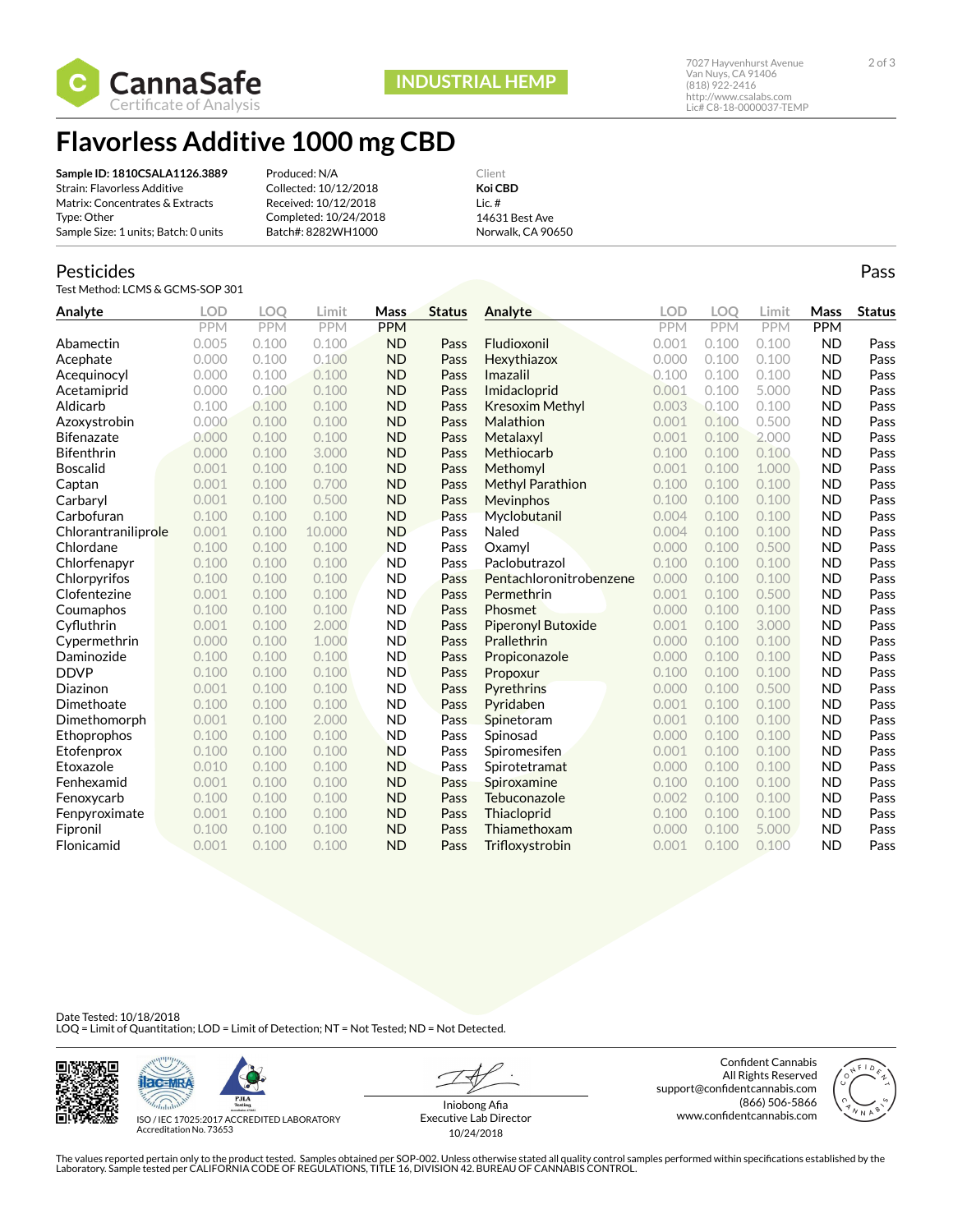

**INDUSTRIAL HEMP**

**Flavorless Additive 1000 mg CBD**

| Sample ID: 1810CSALA1126.3889        | Produced: N/A         | Client            |
|--------------------------------------|-----------------------|-------------------|
| Strain: Flavorless Additive          | Collected: 10/12/2018 | Koi CBD           |
| Matrix: Concentrates & Extracts      | Received: 10/12/2018  | $l$ ic. $#$       |
| Type: Other                          | Completed: 10/24/2018 | 14631 Best Ave    |
| Sample Size: 1 units; Batch: 0 units | Batch#: 8282WH1000    | Norwalk, CA 90650 |

### Pesticides

Test Method: LCMS & GCMS-SOP 301

| Analyte             | <b>LOD</b> | <b>LOO</b> | Limit      | Mass       | <b>Status</b> | Analyte                 | LOD        | LOO        | Limit      | Mass       | <b>Status</b> |
|---------------------|------------|------------|------------|------------|---------------|-------------------------|------------|------------|------------|------------|---------------|
|                     | <b>PPM</b> | PPM        | <b>PPM</b> | <b>PPM</b> |               |                         | <b>PPM</b> | <b>PPM</b> | <b>PPM</b> | <b>PPM</b> |               |
| Abamectin           | 0.005      | 0.100      | 0.100      | <b>ND</b>  | Pass          | Fludioxonil             | 0.001      | 0.100      | 0.100      | <b>ND</b>  | Pass          |
| Acephate            | 0.000      | 0.100      | 0.100      | <b>ND</b>  | Pass          | Hexythiazox             | 0.000      | 0.100      | 0.100      | <b>ND</b>  | Pass          |
| Acequinocyl         | 0.000      | 0.100      | 0.100      | <b>ND</b>  | Pass          | Imazalil                | 0.100      | 0.100      | 0.100      | <b>ND</b>  | Pass          |
| Acetamiprid         | 0.000      | 0.100      | 0.100      | <b>ND</b>  | Pass          | Imidacloprid            | 0.001      | 0.100      | 5.000      | <b>ND</b>  | Pass          |
| Aldicarb            | 0.100      | 0.100      | 0.100      | <b>ND</b>  | Pass          | <b>Kresoxim Methyl</b>  | 0.003      | 0.100      | 0.100      | <b>ND</b>  | Pass          |
| Azoxystrobin        | 0.000      | 0.100      | 0.100      | <b>ND</b>  | Pass          | Malathion               | 0.001      | 0.100      | 0.500      | <b>ND</b>  | Pass          |
| <b>Bifenazate</b>   | 0.000      | 0.100      | 0.100      | <b>ND</b>  | Pass          | Metalaxyl               | 0.001      | 0.100      | 2.000      | <b>ND</b>  | Pass          |
| <b>Bifenthrin</b>   | 0.000      | 0.100      | 3.000      | <b>ND</b>  | Pass          | Methiocarb              | 0.100      | 0.100      | 0.100      | <b>ND</b>  | Pass          |
| <b>Boscalid</b>     | 0.001      | 0.100      | 0.100      | <b>ND</b>  | Pass          | Methomyl                | 0.001      | 0.100      | 1.000      | <b>ND</b>  | Pass          |
| Captan              | 0.001      | 0.100      | 0.700      | <b>ND</b>  | Pass          | <b>Methyl Parathion</b> | 0.100      | 0.100      | 0.100      | <b>ND</b>  | Pass          |
| Carbaryl            | 0.001      | 0.100      | 0.500      | <b>ND</b>  | Pass          | Mevinphos               | 0.100      | 0.100      | 0.100      | <b>ND</b>  | Pass          |
| Carbofuran          | 0.100      | 0.100      | 0.100      | <b>ND</b>  | Pass          | Myclobutanil            | 0.004      | 0.100      | 0.100      | <b>ND</b>  | Pass          |
| Chlorantraniliprole | 0.001      | 0.100      | 10.000     | <b>ND</b>  | Pass          | Naled                   | 0.004      | 0.100      | 0.100      | <b>ND</b>  | Pass          |
| Chlordane           | 0.100      | 0.100      | 0.100      | <b>ND</b>  | Pass          | Oxamvl                  | 0.000      | 0.100      | 0.500      | <b>ND</b>  | Pass          |
| Chlorfenapyr        | 0.100      | 0.100      | 0.100      | <b>ND</b>  | Pass          | Paclobutrazol           | 0.100      | 0.100      | 0.100      | <b>ND</b>  | Pass          |
| Chlorpyrifos        | 0.100      | 0.100      | 0.100      | <b>ND</b>  | Pass          | Pentachloronitrobenzene | 0.000      | 0.100      | 0.100      | <b>ND</b>  | Pass          |
| Clofentezine        | 0.001      | 0.100      | 0.100      | <b>ND</b>  | Pass          | Permethrin              | 0.001      | 0.100      | 0.500      | <b>ND</b>  | Pass          |
| Coumaphos           | 0.100      | 0.100      | 0.100      | <b>ND</b>  | Pass          | Phosmet                 | 0.000      | 0.100      | 0.100      | <b>ND</b>  | Pass          |
| Cyfluthrin          | 0.001      | 0.100      | 2.000      | <b>ND</b>  | Pass          | Piperonyl Butoxide      | 0.001      | 0.100      | 3.000      | <b>ND</b>  | Pass          |
| Cypermethrin        | 0.000      | 0.100      | 1.000      | <b>ND</b>  | Pass          | Prallethrin             | 0.000      | 0.100      | 0.100      | <b>ND</b>  | Pass          |
| Daminozide          | 0.100      | 0.100      | 0.100      | <b>ND</b>  | Pass          | Propiconazole           | 0.000      | 0.100      | 0.100      | <b>ND</b>  | Pass          |
| <b>DDVP</b>         | 0.100      | 0.100      | 0.100      | <b>ND</b>  | Pass          | Propoxur                | 0.100      | 0.100      | 0.100      | <b>ND</b>  | Pass          |
| Diazinon            | 0.001      | 0.100      | 0.100      | <b>ND</b>  | Pass          | Pyrethrins              | 0.000      | 0.100      | 0.500      | <b>ND</b>  | Pass          |
| Dimethoate          | 0.100      | 0.100      | 0.100      | <b>ND</b>  | Pass          | Pyridaben               | 0.001      | 0.100      | 0.100      | <b>ND</b>  | Pass          |
| Dimethomorph        | 0.001      | 0.100      | 2.000      | <b>ND</b>  | Pass          | Spinetoram              | 0.001      | 0.100      | 0.100      | <b>ND</b>  | Pass          |
| Ethoprophos         | 0.100      | 0.100      | 0.100      | <b>ND</b>  | Pass          | Spinosad                | 0.000      | 0.100      | 0.100      | <b>ND</b>  | Pass          |
| Etofenprox          | 0.100      | 0.100      | 0.100      | <b>ND</b>  | Pass          | Spiromesifen            | 0.001      | 0.100      | 0.100      | <b>ND</b>  | Pass          |
| Etoxazole           | 0.010      | 0.100      | 0.100      | <b>ND</b>  | Pass          | Spirotetramat           | 0.000      | 0.100      | 0.100      | <b>ND</b>  | Pass          |
| Fenhexamid          | 0.001      | 0.100      | 0.100      | <b>ND</b>  | Pass          | Spiroxamine             | 0.100      | 0.100      | 0.100      | <b>ND</b>  | Pass          |
| Fenoxycarb          | 0.100      | 0.100      | 0.100      | <b>ND</b>  | Pass          | Tebuconazole            | 0.002      | 0.100      | 0.100      | <b>ND</b>  | Pass          |
| Fenpyroximate       | 0.001      | 0.100      | 0.100      | <b>ND</b>  | Pass          | Thiacloprid             | 0.100      | 0.100      | 0.100      | <b>ND</b>  | Pass          |
| Fipronil            | 0.100      | 0.100      | 0.100      | <b>ND</b>  | Pass          | Thiamethoxam            | 0.000      | 0.100      | 5.000      | <b>ND</b>  | Pass          |
| Flonicamid          | 0.001      | 0.100      | 0.100      | <b>ND</b>  | Pass          | Trifloxystrobin         | 0.001      | 0.100      | 0.100      | <b>ND</b>  | Pass          |

Date Tested: 10/18/2018<br>LOQ = Limit of Quantitation; LOD = Limit of Detection; NT = Not Tested; ND = Not Detected.





ISO / IEC 17025:2017 ACCREDITED LABORATORY Accreditation No. 73653

Iniobong Afia Executive Lab Director 10/24/2018

Confident Cannabis All Rights Reserved support@confidentcannabis.com (866) 506-5866 www.confidentcannabis.com



The values reported pertain only to the product tested. Samples obtained per SOP-002. Unless otherwise stated all quality control samples performed within specifications established by the<br>Laboratory. Sample tested per CAL

Pass